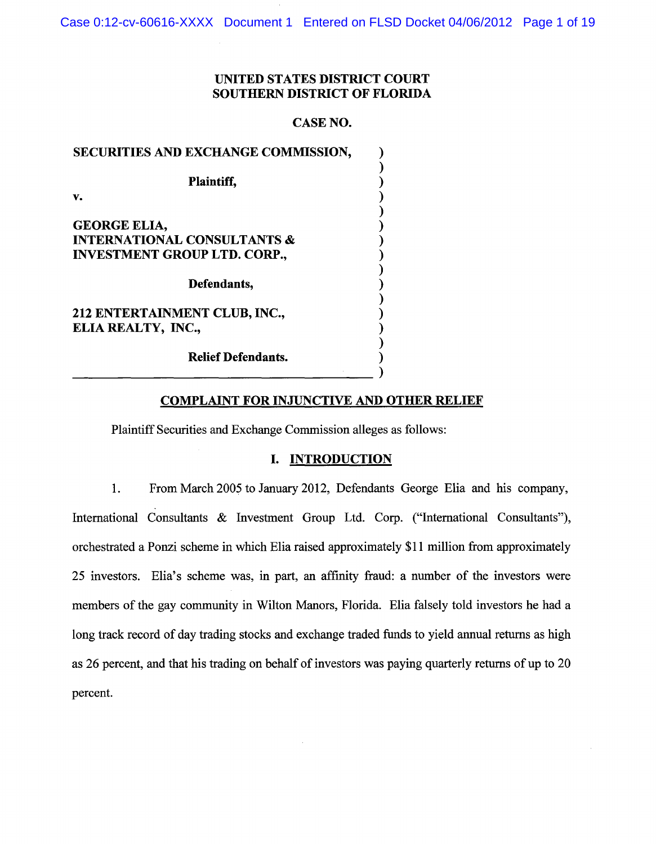Case 0:12-cv-60616-XXXX Document 1 Entered on FLSD Docket 04/06/2012 Page 1 of 19

## UNITED STATES DISTRICT COURT SOUTHERN DISTRICT OF FLORIDA

### CASE NO.

| SECURITIES AND EXCHANGE COMMISSION,    |  |
|----------------------------------------|--|
|                                        |  |
| <b>Plaintiff,</b>                      |  |
| v.                                     |  |
|                                        |  |
| <b>GEORGE ELIA,</b>                    |  |
| <b>INTERNATIONAL CONSULTANTS &amp;</b> |  |
| <b>INVESTMENT GROUP LTD. CORP.,</b>    |  |
|                                        |  |
| Defendants,                            |  |
|                                        |  |
| 212 ENTERTAINMENT CLUB, INC.,          |  |
| ELIA REALTY, INC.,                     |  |
|                                        |  |
| <b>Relief Defendants.</b>              |  |
|                                        |  |
|                                        |  |

### COMPLAINT FOR INJUNCTIVE AND OTHER RELIEF

Plaintiff Securities and Exchange Commission alleges as follows:

#### I. INTRODUCTION

1. From March 2005 to January 2012, Defendants George Elia and his company, International Consultants & Investment Group Ltd. Corp. ("International Consultants"), orchestrated a Ponzi scheme in which Elia raised approximately \$11 million from approximately 25 investors. Elia's scheme was, in part, an affinity fraud: a number of the investors were members of the gay community in Wilton Manors, Florida. Elia falsely told investors he had a long track record of day trading stocks and exchange traded funds to yield annual returns as high as 26 percent, and that his trading on behalf of investors was paying quarterly returns of up to 20 percent.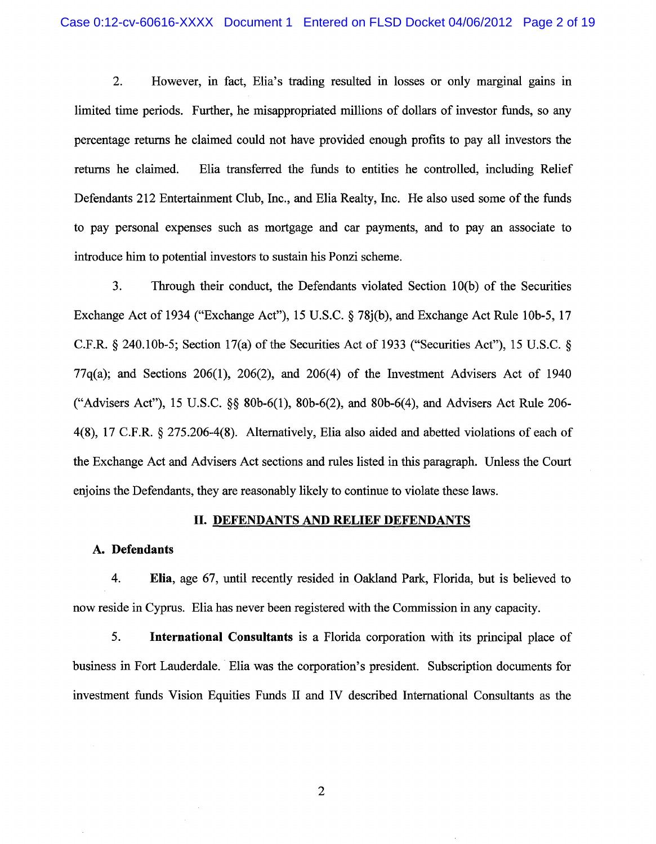2. However, in fact, Elia's trading resulted in losses or only marginal gains in limited time periods. Further, he misappropriated millions of dollars of investor funds, so any percentage returns he claimed could not have provided enough profits to pay all investors the returns he claimed. Elia transferred the funds to entities he controlled, including Relief Defendants 212 Entertainment Club, Inc., and Elia Realty, Inc. He also used some of the funds to pay personal expenses such as mortgage and car payments, and to pay an associate to introduce him to potential investors to sustain his Ponzi scheme.

3. Through their conduct, the Defendants violated Section 10(b) of the Securities Exchange Act of 1934 ("Exchange Act"), 15 U.S.C. § 78j(b), and Exchange Act Rule 10b-5, 17 C.F.R. § 240.10b-5; Section 17(a) of the Securities Act of 1933 ("Securities Act"), 15 U.S.C. §  $77q(a)$ ; and Sections 206(1), 206(2), and 206(4) of the Investment Advisers Act of 1940 ("Advisers Act"), 15 U.S.C. §§ 80b-6(1), 80b-6(2), and 80b-6(4), and Advisers Act Rule 206- 4(8), 17 C.F.R. § 275.206-4(8). Alternatively, Elia also aided and abetted violations of each of the Exchange Act and Advisers Act sections and rules listed in this paragraph. Unless the Court enjoins the Defendants, they are reasonably likely to continue to violate these laws.

### II. DEFENDANTS AND RELIEF DEFENDANTS

### A. Defendants

4. Elia, age 67, until recently resided in Oakland Park, Florida, but is believed to now reside in Cyprus. Elia has never been registered with the Commission in any capacity.

5. International Consultants is a Florida corporation with its principal place of business in Fort Lauderdale. Elia was the corporation's president. Subscription documents for investment funds Vision Equities Funds II and IV described International Consultants as the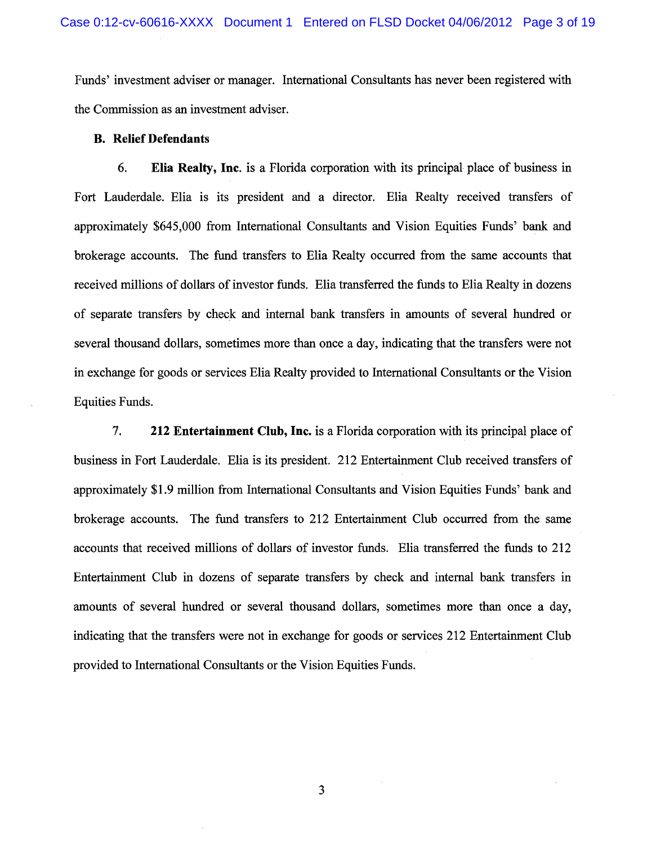Funds' investment adviser or manager. International Consultants has never been registered with the Commission as an investment adviser.

#### **B. Relief Defendants**

6. **Elia Realty, Inc.** is a Florida corporation with its principal place of business in Fort Lauderdale. Elia is its president and a director. Elia Realty received transfers of approximately \$645,000 from International Consultants and Vision Equities Funds' bank and brokerage accounts. The fund transfers to Elia Realty occurred from the same accounts that received millions of dollars of investor funds. Elia transferred the funds to Elia Realty in dozens of separate transfers by check and internal bank transfers in amounts of several hundred or several thousand dollars, sometimes more than once a day, indicating that the transfers were not in exchange for goods or services Elia Realty provided to International Consultants or the Vision Equities Funds.

7. **212 Entertainment Club, Inc.** is a Florida corporation with its principal place of business in Fort Lauderdale. Elia is its president. 212 Entertainment Club received transfers of approximately \$1.9 million from International Consultants and Vision Equities Funds' bank and brokerage accounts. The fund transfers to 212 Entertainment Club occurred from the same accounts that received millions of dollars of investor funds. Elia transferred the funds to 212 Entertainment Club in dozens of separate transfers by check and internal bank transfers in amounts of several hundred or several thousand dollars, sometimes more than once a day, indicating that the transfers were not in exchange for goods or services 212 Entertainment Club provided to International Consultants or the Vision Equities Funds.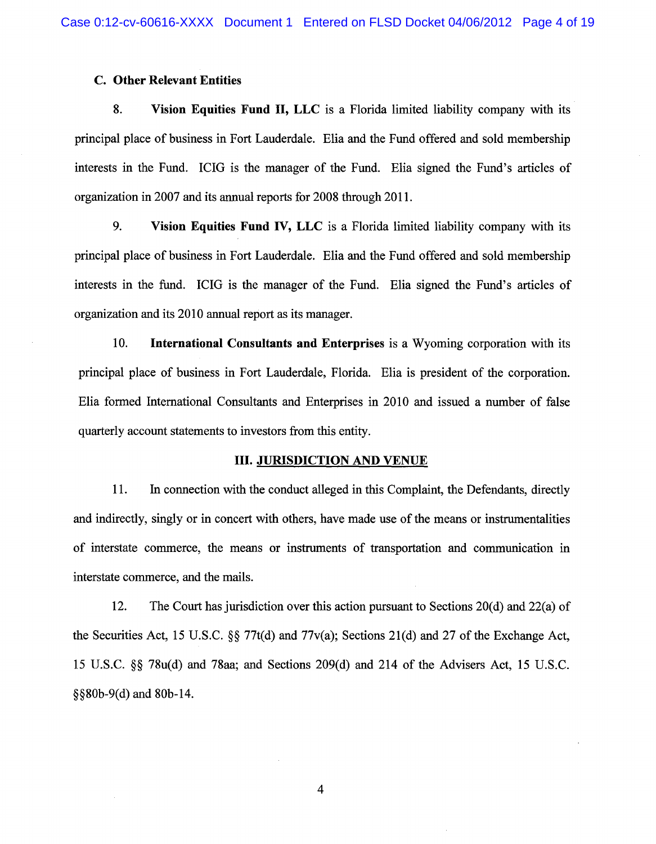### C. Other Relevant Entities

8. Vision Equities Fund II, LLC is a Florida limited liability company with its principal place of business in Fort Lauderdale. Elia and the Fund offered and sold membership interests in the Fund. ICIG is the manager of the Fund. Elia signed the Fund's articles of organization in 2007 and its annual reports for 2008 through 2011.

9. Vision Equities Fund IV, LLC is a Florida limited liability company with its principal place of business in Fort Lauderdale. Elia and the Fund offered and sold membership interests in the fund. ICIG is the manager of the Fund. Elia signed the Fund's articles of organization and its 2010 annual report as its manager.

10. International Consultants and Enterprises is a Wyoming corporation with its principal place of business in Fort Lauderdale, Florida. Elia is president of the corporation. Elia formed International Consultants and Enterprises in 2010 and issued a number of false quarterly account statements to investors from this entity.

### III. JURISDICTION AND VENUE

11. In connection with the conduct alleged in this Complaint, the Defendants, directly and indirectly, singly or in concert with others, have made use of the means or instrumentalities of interstate commerce, the means or instruments of transportation and communication in interstate commerce, and the mails.

12. The Court has jurisdiction over this action pursuant to Sections 20(d) and 22(a) of the Securities Act, 15 U.S.C. §§ 77t(d) and 77v(a); Sections 21(d) and 27 of the Exchange Act, 15 U.S.C. §§ 78u(d) and 78aa; and Sections 209(d) and 214 of the Advisers Act, 15 U.S.C. §§80b-9(d) and 80b-14.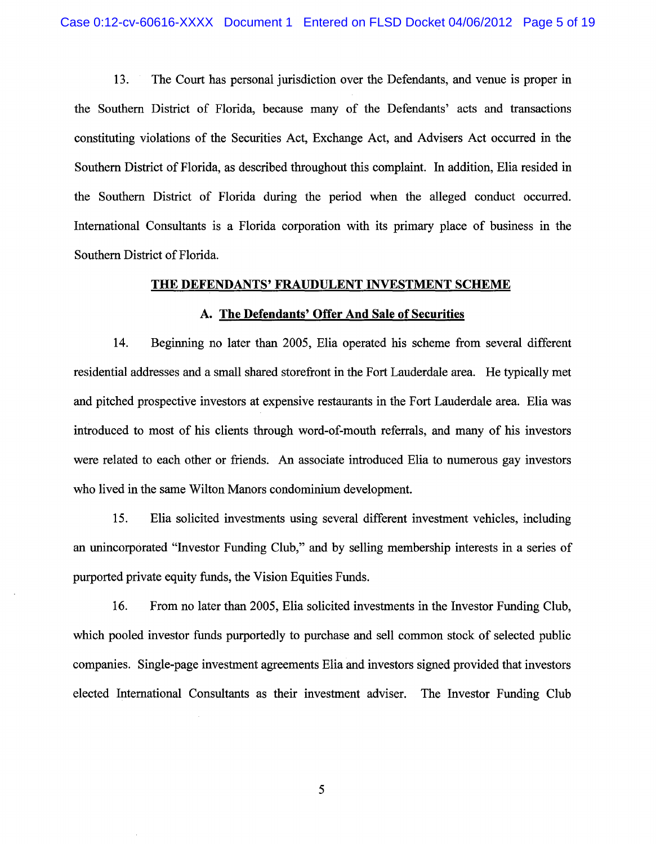13. The Court has personal jurisdiction over the Defendants, and venue is proper in the Southern District of Florida, because many of the Defendants' acts and transactions constituting violations of the Securities Act, Exchange Act, and Advisers Act occurred in the Southern District of Florida, as described throughout this complaint. In addition, Elia resided in the Southern District of Florida during the period when the alleged conduct occurred. International Consultants is a Florida corporation with its primary place of business in the Southern District of Florida.

#### THE DEFENDANTS' FRAUDULENT INVESTMENT SCHEME

#### A. The Defendants' Offer And Sale of Securities

14. Beginning no later than 2005, Elia operated his scheme from several different residential addresses and a small shared storefront in the Fort Lauderdale area. He typically met and pitched prospective investors at expensive restaurants in the Fort Lauderdale area. Elia was introduced to most of his clients through word-of-mouth referrals, and many of his investors were related to each other or friends. An associate introduced Elia to numerous gay investors who lived in the same Wilton Manors condominium development.

15. Elia solicited investments using several different investment vehicles, including an unincorporated "Investor Funding Club," and by selling membership interests in a series of purported private equity funds, the Vision Equities Funds.

16. From no later than 2005, Elia solicited investments in the Investor Funding Club, which pooled investor funds purportedly to purchase and sell common stock of selected public companies. Single-page investment agreements Elia and investors signed provided that investors elected International Consultants as their investment adviser. The Investor Funding Club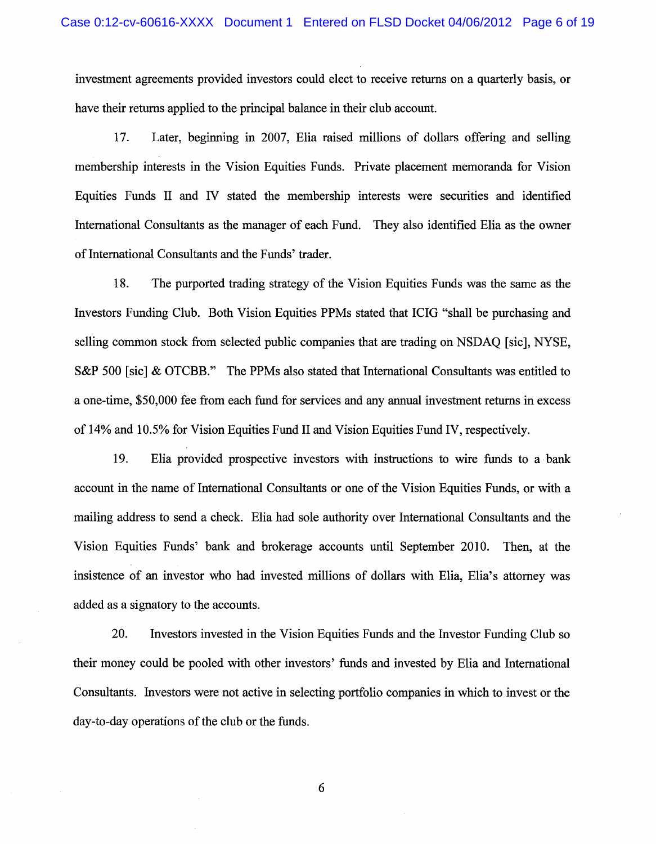investment agreements provided investors could elect to receive returns on a quarterly basis, or have their returns applied to the principal balance in their club account.

17. Later, beginning in 2007, Elia raised millions of dollars offering and selling membership interests in the Vision Equities Funds. Private placement memoranda for Vision Equities Funds II and IV stated the membership interests were securities and identified International Consultants as the manager of each Fund. They also identified Elia as the owner of International Consultants and the Funds' trader.

18. The purported trading strategy of the Vision Equities Funds was the same as the Investors Funding Club. Both Vision Equities PPMs stated that ICIG "shall be purchasing and selling common stock from selected public companies that are trading on NSDAQ [sic], NYSE, S&P 500 [sic] & OTCBB." The PPMs also stated that International Consultants was entitled to a one-time, \$50,000 fee from each fund for services and any annual investment returns in excess of 14% and 10.5% for Vision Equities Fund II and Vision Equities Fund IV, respectively.

19. Elia provided prospective investors with instructions to wire funds to a bank account in the name of International Consultants or one of the Vision Equities Funds, or with a mailing address to send a check. Elia had sole authority over International Consultants and the Vision Equities Funds' bank and brokerage accounts until September 2010. Then, at the insistence of an investor who had invested millions of dollars with Elia, Elia's attorney was added as a signatory to the accounts.

20. Investors invested in the Vision Equities Funds and the Investor Funding Club so their money could be pooled with other investors' funds and invested by Elia and International Consultants. Investors were not active in selecting portfolio companies in which to invest or the day-to-day operations of the club or the funds.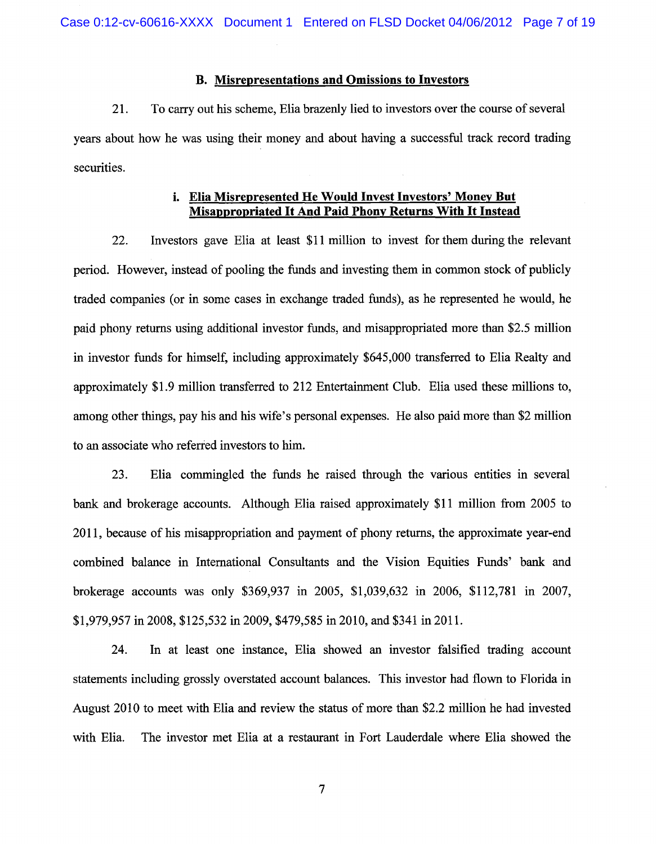### B. Misrepresentations and Omissions to Investors

21. To carry out his scheme, Elia brazenly lied to investors over the course of several years about how he was using their money and about having a successful track record trading securities.

## i. Elia Misrepresented He Would Invest Investors' Money But Misappropriated It And Paid Phony Returns With It Instead

22. Investors gave Elia at least \$11 million to invest for them during the relevant period. However, instead of pooling the funds and investing them in common stock of publicly traded companies (or in some cases in exchange traded funds), as he represented he would, he paid phony returns using additional investor funds, and misappropriated more than \$2.5 million in investor funds for himself, including approximately \$645,000 transferred to Elia Realty and approximately \$1.9 million transferred to 212 Entertainment Club. Elia used these millions to, among other things, pay his and his wife's personal expenses. He also paid more than \$2 million to an associate who referred investors to him.

23. Elia commingled the funds he raised through the various entities in several bank and brokerage accounts. Although Elia raised approximately \$11 million from 2005 to 2011, because of his misappropriation and payment of phony returns, the approximate year-end combined balance in International Consultants and the Vision Equities Funds' bank and brokerage accounts was only \$369,937 in 2005, \$1,039,632 in 2006, \$112,781 in 2007, \$1,979,957 in 2008, \$125,532 in 2009, \$479,585 in 2010, and \$341 in 2011.

24. In at least one instance, Elia showed an investor falsified trading account statements including grossly overstated account balances. This investor had flown to Florida in August 2010 to meet with Elia and review the status of more than \$2.2 million he had invested with Elia. The investor met Elia at a restaurant in Fort Lauderdale where Elia showed the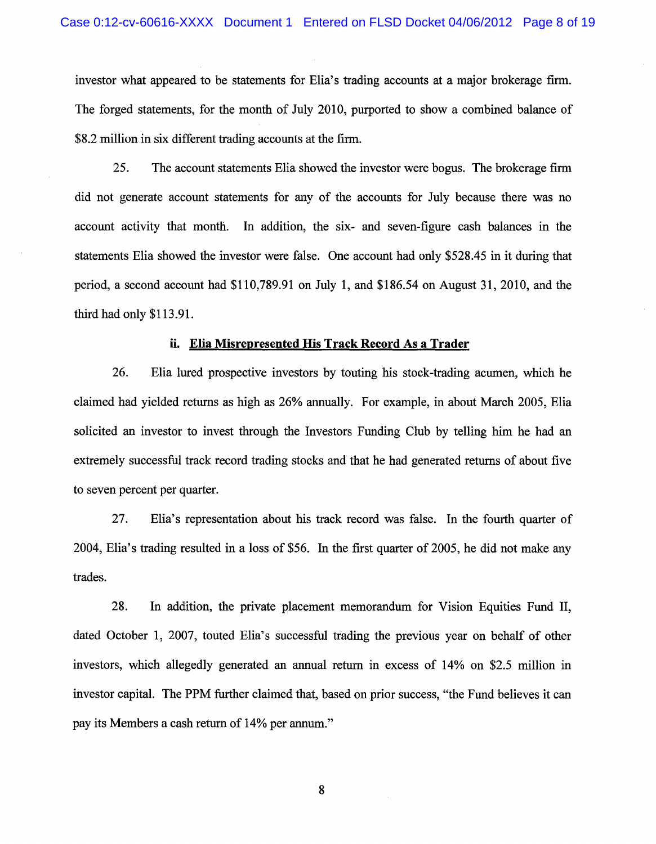investor what appeared to be statements for Elia's trading accounts at a major brokerage firm. The forged statements, for the month of July 2010, purported to show a combined balance of \$8.2 million in six different trading accounts at the firm.

25. The account statements Elia showed the investor were bogus. The brokerage firm did not generate account statements for any of the accounts for July because there was no account activity that month. In addition, the six- and seven-figure cash balances in the statements Elia showed the investor were false. One account had only \$528.45 in it during that period, a second account had \$110,789.91 on July 1, and \$186.54 on August 31, 2010, and the third had only \$113.9l.

#### ii. Elia Misrepresented His Track Record As a Trader

26. Elia lured prospective investors by touting his stock-trading acumen, which he claimed had yielded returns as high as 26% annually. For example, in about March 2005, Elia solicited an investor to invest through the Investors Funding Club by telling him he had an extremely successful track record trading stocks and that he had generated returns of about five to seven percent per quarter.

27. Elia's representation about his track record was false. In the fourth quarter of 2004, Elia's trading resulted in a loss of \$56. In the first quarter of 2005, he did not make any trades.

28. In addition, the private placement memorandum for Vision Equities Fund II, dated October 1, 2007, touted Elia's successful trading the previous year on behalf of other investors, which allegedly generated an annual return in excess of 14% on \$2.5 million in investor capital. The PPM further claimed that, based on prior success, "the Fund believes it can pay its Members a cash return of 14% per annum."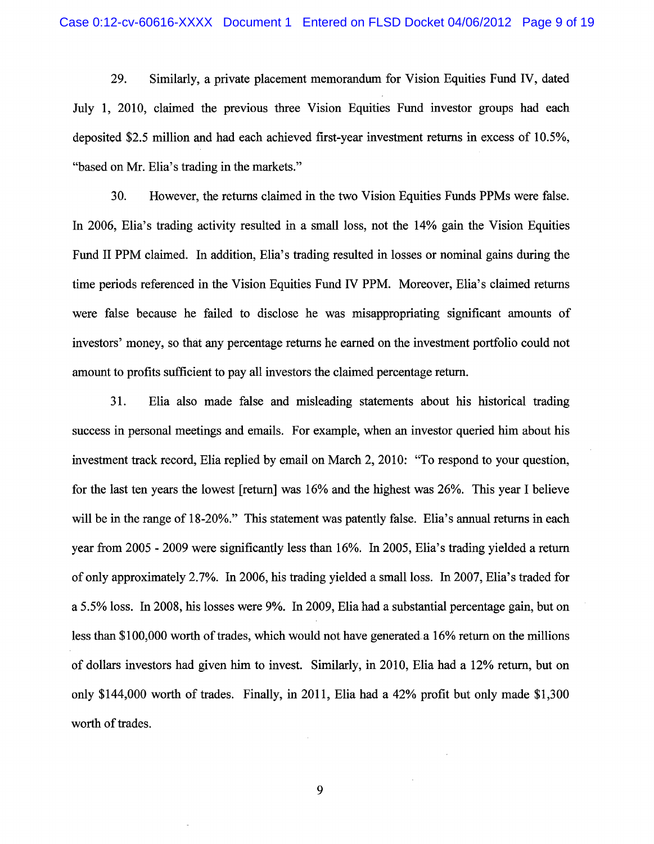29. Similarly, a private placement memorandum for Vision Equities Fund IV, dated July 1, 2010, claimed the previous three Vision Equities Fund investor groups had each deposited \$2.5 million and had each achieved first-year investment returns in excess of 10.5%, "based on Mr. Elia's trading in the markets."

30. However, the returns claimed in the two Vision Equities Funds PPMs were false. In 2006, Elia's trading activity resulted in a small loss, not the 14% gain the Vision Equities Fund II PPM claimed. In addition, Elia's trading resulted in losses or nominal gains during the time periods referenced in the Vision Equities Fund IV PPM. Moreover, Elia's claimed returns were false because he failed to disclose he was misappropriating significant amounts of investors' money, so that any percentage returns he earned on the investment portfolio could not amount to profits sufficient to pay all investors the claimed percentage return.

31. Elia also made false and misleading statements about his historical trading success in personal meetings and emails. For example, when an investor queried him about his investment track record, Elia replied by email on March 2,2010: "To respond to your question, for the last ten years the lowest [return] was 16% and the highest was 26%. This year I believe will be in the range of 18-20%." This statement was patently false. Elia's annual returns in each year from 2005 - 2009 were significantly less than 16%. In 2005, Elia's trading yielded a return of only approximately 2.7%. In 2006, his trading yielded a small loss. In 2007, Elia's traded for a 5.5% loss. In 2008, his losses were 9%. In 2009, Elia had a substantial percentage gain, but on less than \$100,000 worth of trades, which would not have generated. a 16% return on the millions of dollars investors had given him to invest. Similarly, in 2010, Elia had a 12% return, but on only \$144,000 worth of trades. Finally, in 2011, Elia had a 42% profit but only made \$1,300 worth of trades.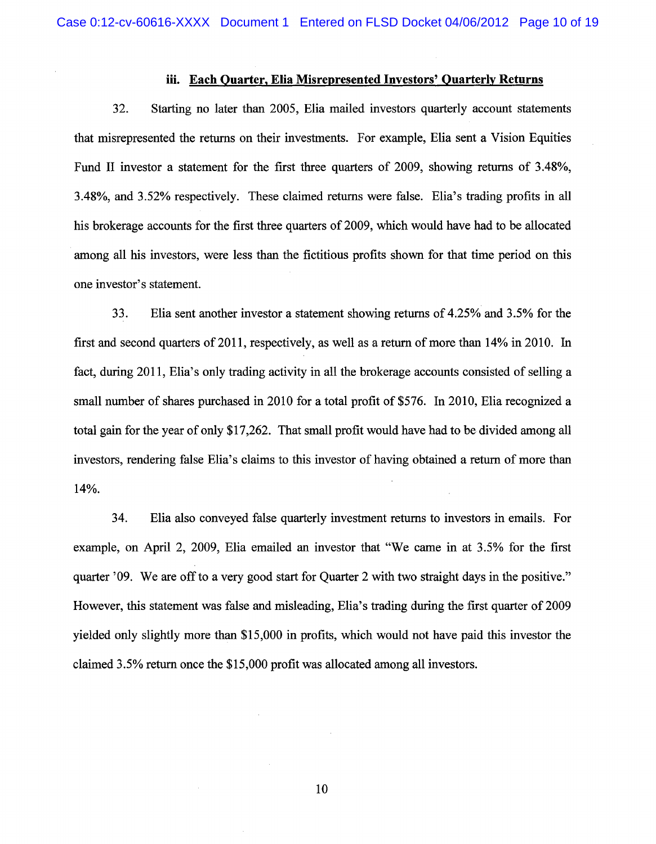### **iii. Each Quarter, Elia Misrepresented Investors' Quarterly Returns**

32. Starting no later than 2005, Elia mailed investors quarterly account statements that misrepresented the returns on their investments. For example, Elia sent a Vision Equities Fund II investor a statement for the first three quarters of 2009, showing returns of 3.48%, 3.48%, and 3.52% respectively. These claimed returns were false. Elia's trading profits in all his brokerage accounts for the first three quarters of 2009, which would have had to be allocated among all his investors, were less than the fictitious profits shown for that time period on this one investor's statement.

33. Elia sent another investor a statement showing returns of 4.25% and 3.5% for the first and second quarters of 2011, respectively, as well as a return of more than 14% in 2010. In fact, during 2011, Elia's only trading activity in all the brokerage accounts consisted of selling a small number of shares purchased in 2010 for a total profit of \$576. In 2010, Elia recognized a total gain for the year of only \$17,262. That small profit would have had to be divided among all investors, rendering false Elia's claims to this investor of having obtained a return of more than 14%.

34. Elia also conveyed false quarterly investment returns to investors in emails. For example, on April 2, 2009, Elia emailed an investor that "We came in at 3.5% for the first quarter '09. We are off to a very good start for Quarter 2 with two straight days in the positive." However, this statement was false and misleading, Elia's trading during the first quarter of 2009 yielded only slightly more than \$15,000 in profits, which would not have paid this investor the claimed 3.5% return once the \$15,000 profit was allocated among all investors.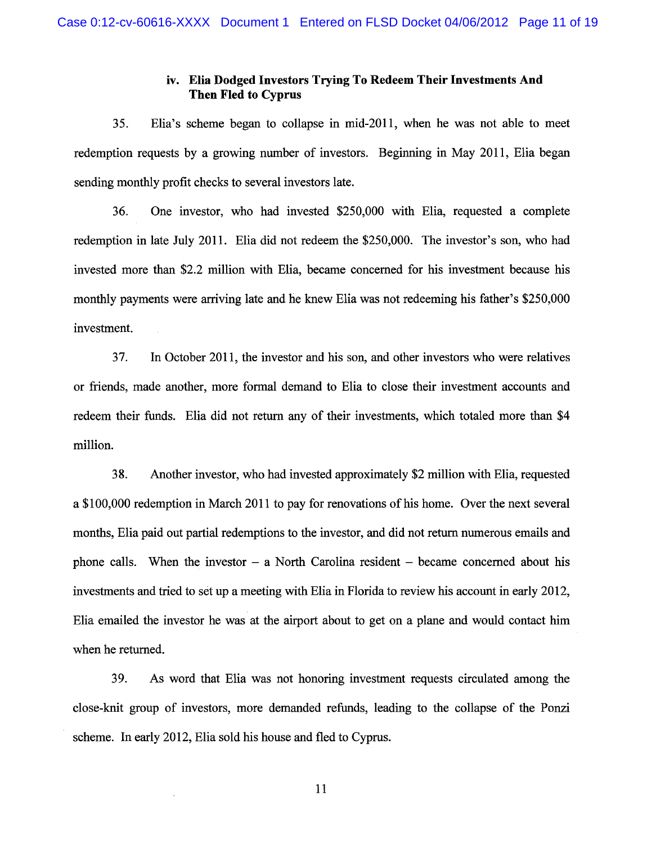## iv. Elia Dodged Investors Trying To Redeem Their Investments And Then Fled to Cyprus

35. Elia's scheme began to collapse in mid-2011, when he was not able to meet redemption requests by a growing number of investors. Beginning in May 2011, Elia began sending monthly profit checks to several investors late.

36. One investor, who had invested \$250,000 with Elia, requested a complete redemption in late July 2011. Elia did not redeem the \$250,000. The investor's son, who had invested more than \$2.2 million with Elia, became concerned for his investment because his monthly payments were arriving late and he knew Elia was not redeeming his father's \$250,000 investment.

37. In October 2011, the investor and his son, and other investors who were relatives or friends, made another, more formal demand to Elia to close their investment accounts and redeem their funds. Elia did not return any of their investments, which totaled more than \$4 million.

38. Another investor, who had invested approximately \$2 million with Elia, requested a \$100,000 redemption in March 2011 to pay for renovations of his home. Over the next several months, Elia paid out partial redemptions to the investor, and did not return numerous emails and phone calls. When the investor  $-$  a North Carolina resident  $-$  became concerned about his investments and tried to set up a meeting with Elia in Florida to review his account in early 2012, Elia emailed the investor he was at the airport about to get on a plane and would contact him when he returned.

39. As word that Elia was not honoring investment requests circulated among the close-knit group of investors, more demanded refunds, leading to the collapse of the Ponzi scheme. In early 2012, Elia sold his house and fled to Cyprus.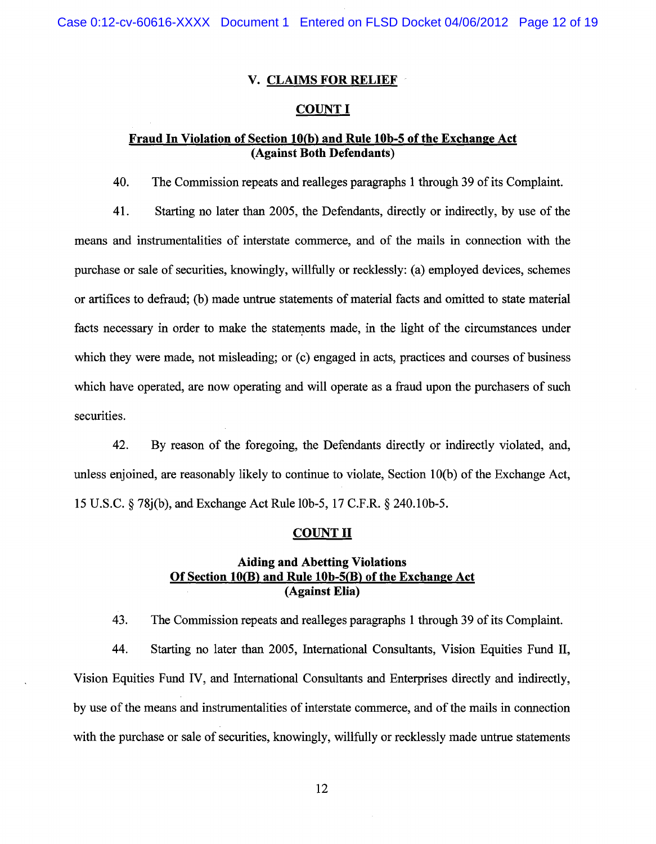Case 0:12-cv-60616-XXXX Document 1 Entered on FLSD Docket 04/06/2012 Page 12 of 19

### V. CLAIMS FOR RELIEF

#### COUNT I

## Fraud In Violation of Section 10(b) and Rule 10b-5 of the Exchange Act (Against Both Defendants)

40. The Commission repeats and realleges paragraphs 1 through 39 of its Complaint.

41. Starting no later than 2005, the Defendants, directly or indirectly, by use of the means and instrumentalities of interstate commerce, and of the mails in connection with the purchase or sale of securities, knowingly, willfully or recklessly: (a) employed devices, schemes or artifices to defraud; (b) made untrue statements of material facts and omitted to state material facts necessary in order to make the statements made, in the light of the circumstances under which they were made, not misleading; or (c) engaged in acts, practices and courses of business which have operated, are now operating and will operate as a fraud upon the purchasers of such securities.

42. By reason of the foregoing, the Defendants directly or indirectly violated, and, unless enjoined, are reasonably likely to continue to violate, Section 1 O(b) of the Exchange Act, 15 U.S.C. § 78j(b), and Exchange Act Rule lOb-5, 17 C.F.R. § 240.10b-5.

#### <u>COUNT II</u>

## Aiding and Abetting Violations Of Section  $10(B)$  and Rule  $10b-5(B)$  of the Exchange Act (Against Elia)

43. The Commission repeats and realleges paragraphs 1 through 39 of its Complaint.

44. Starting no later than 2005, International Consultants, Vision Equities Fund II, Vision Equities Fund IV, and International Consultants and Enterprises directly and indirectly, by use of the means and instrumentalities of interstate commerce, and of the mails in connection with the purchase or sale of securities, knowingly, willfully or recklessly made untrue statements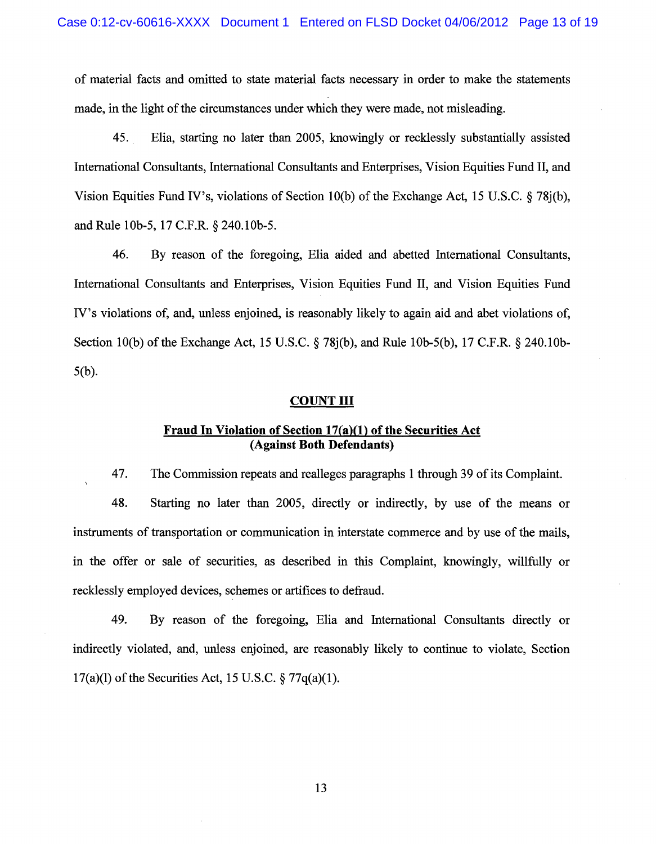of material facts and omitted to state material facts necessary in order to make the statements made, in the light of the circumstances under which they were made, not misleading.

45. Elia, starting no later than 2005, knowingly or recklessly substantially assisted International Consultants, International Consultants and Enterprises, Vision Equities Fund II, and Vision Equities Fund IV's, violations of Section 10(b) of the Exchange Act, 15 U.S.C.  $\delta$  78i(b), and Rule 10b-5, 17C.F.R. §240.10b-5.

46. By reason of the foregoing, Elia aided and abetted International Consultants, International Consultants and Enterprises, Vision Equities Fund II, and Vision Equities Fund IV's violations of, and, unless enjoined, is reasonably likely to again aid and abet violations of, Section 10(b) of the Exchange Act, 15 U.S.C.  $\S$  78 $j(b)$ , and Rule 10b-5(b), 17 C.F.R.  $\S$  240.10b-5(b).

### COUNT III

## **Fraud In Violation of Section 17(a)(1) of the Securities Act (Against Both Defendants)**

47. The Commission repeats and realleges paragraphs 1 through 39 of its Complaint.

48. Starting no later than 2005, directly or indirectly, by use of the means or instruments of transportation or communication in interstate commerce and by use of the mails, in the offer or sale of securities, as described in this Complaint, knowingly, willfully or recklessly employed devices, schemes or artifices to defraud.

49. By reason of the foregoing, Elia and International Consultants directly or indirectly violated, and, unless enjoined, are reasonably likely to continue to violate, Section 17(a)(l) of the Securities Act, 15 U.S.C. § 77q(a)(1).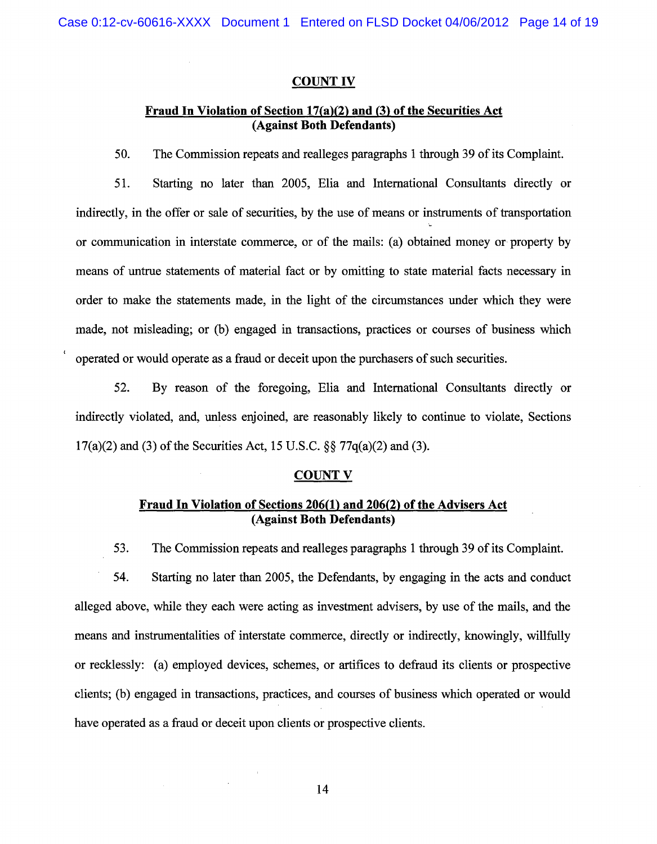#### COUNT IV

## Fraud **In** Violation of Section 17(a)(2) and (3) of the Securities Act (Against Both Defendants)

50. The Commission repeats and realleges paragraphs 1 through 39 of its Complaint.

51. Starting no later than 2005, Elia and International Consultants directly or indirectly, in the offer or sale of securities, by the use of means or instruments of transportation or communication in interstate commerce, or of the mails: (a) obtained money or property by means of untrue statements of material fact or by omitting to state material facts necessary in order to make the statements made, in the light of the circumstances under which they were made, not misleading; or (b) engaged in transactions, practices or courses of business which operated or would operate as a fraud or deceit upon the purchasers of such securities.

52. By reason of the foregoing, Elia and International Consultants directly or indirectly violated, and, unless enjoined, are reasonably likely to continue to violate, Sections  $17(a)(2)$  and (3) of the Securities Act, 15 U.S.C. §§ 77q(a)(2) and (3).

#### COUNT V

## Fraud **In** Violation of Sections 206(1) and 206(2) of the Advisers Act (Against Both Defendants)

53. The Commission repeats and realleges paragraphs 1 through 39 of its Complaint.

54. Starting no later than 2005, the Defendants, by engaging in the acts and conduct alleged above, while they each were acting as investment advisers, by use of the mails, and the means and instrumentalities of interstate commerce, directly or indirectly, knowingly, willfully or recklessly: (a) employed devices, schemes, or artifices to defraud its clients or prospective clients; (b) engaged in transactions, practices, and courses of business which operated or would have operated as a fraud or deceit upon clients or prospective clients.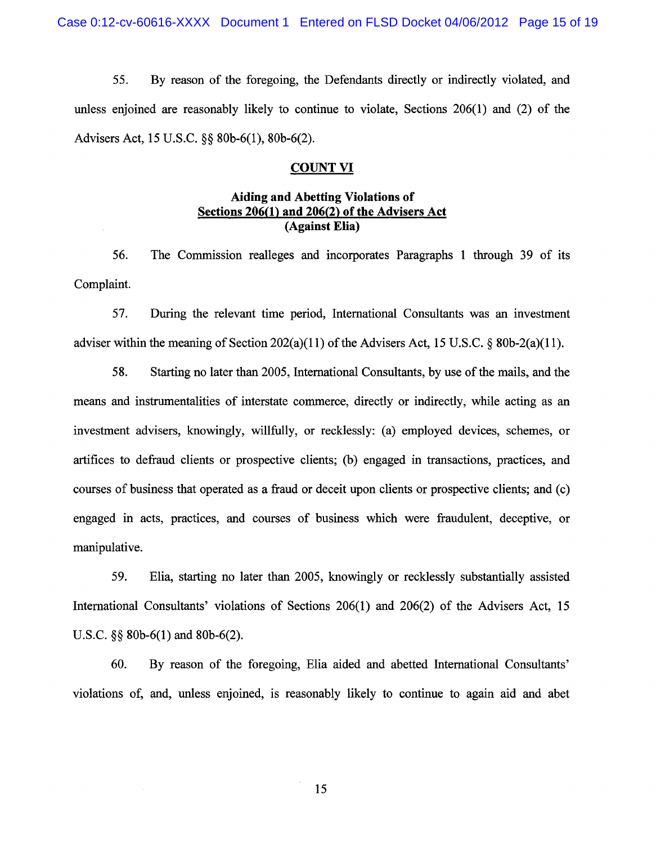55. By reason of the foregoing, the Defendants directly or indirectly violated, and unless enjoined are reasonably likely to continue to violate, Sections 206(1) and (2) of the Advisers Act, 15 U.S.C. §§ 80b-6(1), 80b-6(2).

### COUNT VI

## **Aiding and Abetting Violations of Sections 206(1) and 206(2) of the Advisers Act (Against Elia)**

56. The Commission realleges and incorporates Paragraphs 1 through 39 of its Complaint.

57. During the relevant time period, International Consultants was an investment adviser within the meaning of Section 202(a)(11) of the Advisers Act, 15 U.S.C.  $\&$  80b-2(a)(11).

58. Starting no later than 2005, International Consultants, by use of the mails, and the means and instrumentalities of interstate commerce, directly or indirectly, while acting as an investment advisers, knowingly, willfully, or recklessly: (a) employed devices, schemes, or artifices to defraud clients or prospective clients; (b) engaged in transactions, practices, and courses of business that operated as a fraud or deceit upon clients or prospective clients; and (c) engaged in acts, practices, and courses of business which were fraudulent, deceptive, or manipulative.

59. Elia, starting no later than 2005, knowingly or recklessly substantially assisted International Consultants' violations of Sections 206(1) and 206(2) of the Advisers Act, 15 U.S.C. §§ 80b-6(1) and 80b-6(2).

60. By reason of the foregoing, Elia aided and abetted International Consultants' violations of, and, unless enjoined, is reasonably likely to continue to again aid and abet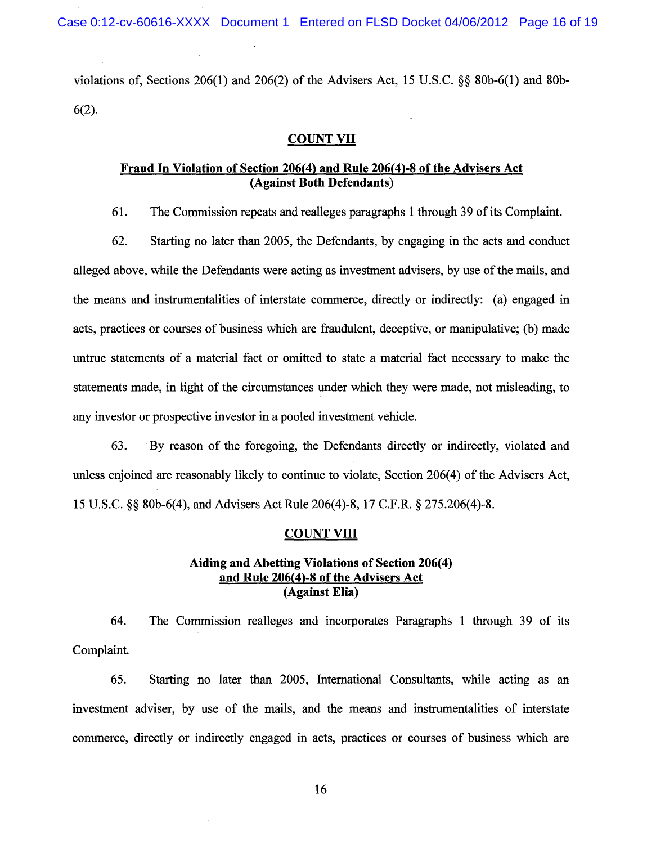violations of, Sections 206(1) and 206(2) of the Advisers Act, 15 U.S.C. §§ 80b-6(l) and 80b-6(2).

## COUNT VII

### **Fraud In Violation** of Section **206(4) and Rule 206(4)-8** of the **Advisers Act (Against Both Defendants)**

61. The Commission repeats and realleges paragraphs 1 through 39 of its Complaint.

62. Starting no later than 2005, the Defendants, by engaging in the acts and conduct alleged above, while the Defendants were acting as investment advisers, by use of the mails, and the means and instrumentalities of interstate commerce, directly or indirectly: (a) engaged in acts, practices or courses of business which are fraudulent, deceptive, or manipulative; (b) made untrue statements of a material fact or omitted to state a material fact necessary to make the statements made, in light of the circumstances under which they were made, not misleading, to any investor or prospective investor in a pooled investment vehicle.

63. By reason of the foregoing, the Defendants directly or indirectly, violated and unless enjoined are reasonably likely to continue to violate, Section 206(4) of the Advisers Act, 15 U.S.C. §§ 80b-6(4), and Advisers Act Rule 206(4)-8, 17 C.F.R. § 275.206(4)-8.

#### **COUNT VIII**

## **Aiding and Abetting Violations of Section 206(4) and Rule 206(4)-8 of the Advisers Act (Against Elia)**

64. The Commission realleges and incorporates Paragraphs 1 through 39 of its Complaint.

65. Starting no later than 2005, International Consultants, while acting as an investment adviser, by use of the mails, and the means and instrumentalities of interstate commerce, directly or indirectly engaged in acts, practices or courses of business which are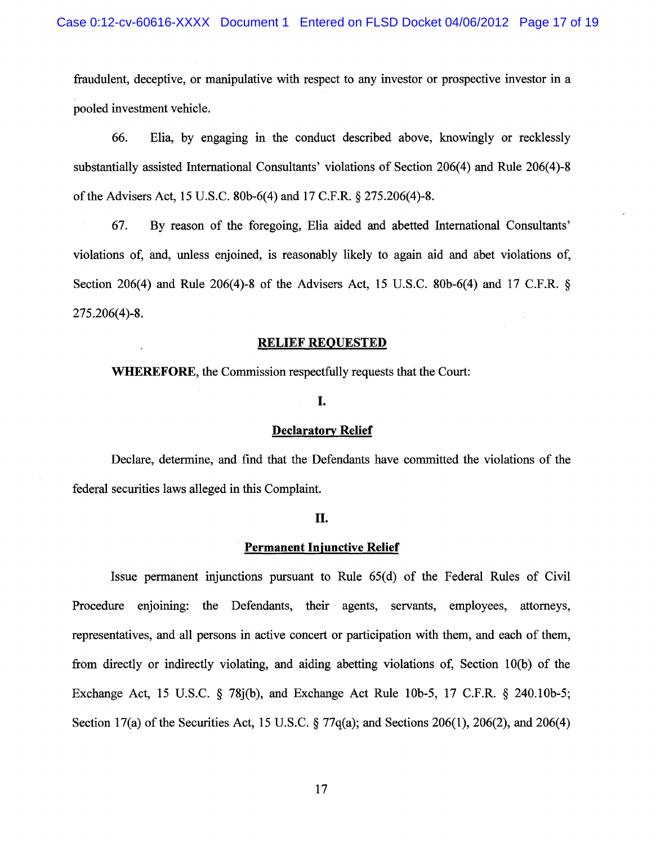fraudulent, deceptive, or manipulative with respect to any investor or prospective investor in a pooled investment vehicle.

66. Elia, by engaging in the conduct described above, knowingly or recklessly substantially assisted International Consultants' violations of Section 206(4) and Rule 206(4)-8 of the Advisers Act, 15 U.S.C. 80b-6(4) and 17 C.F.R. § 275.206(4)-8.

67. By reason of the foregoing, Elia aided and abetted International Consultants' violations of, and, unless enjoined, is reasonably likely to again aid and abet violations of, Section 206(4) and Rule 206(4)-8 of the Advisers Act, 15 U.S.C. 80b-6(4) and 17 C.F.R. § 275.206(4)-8.

#### **RELIEF REQUESTED**

**WHEREFORE,** the Commission respectfully requests that the Court:

### **I.**

#### **Declaratory Relief**

Declare, determine, and find that the Defendants have committed the violations of the federal securities laws alleged in this Complaint.

#### **II.**

## **Permanent Injunctive Relief**

Issue permanent injunctions pursuant to Rule 65(d) of the Federal Rules of Civil Procedure enjoining: the Defendants, their agents, servants, employees, attorneys, representatives, and all persons in active concert or participation with them, and each of them, from directly or indirectly violating, and aiding abetting violations of, Section 10(b) of the Exchange Act, 15 U.S.C. § 78j(b), and Exchange Act Rule 10b-5, 17 C.F.R. § 240.10b-5; Section 17(a) of the Securities Act, 15 U.S.C. § 77q(a); and Sections 206(1), 206(2), and 206(4)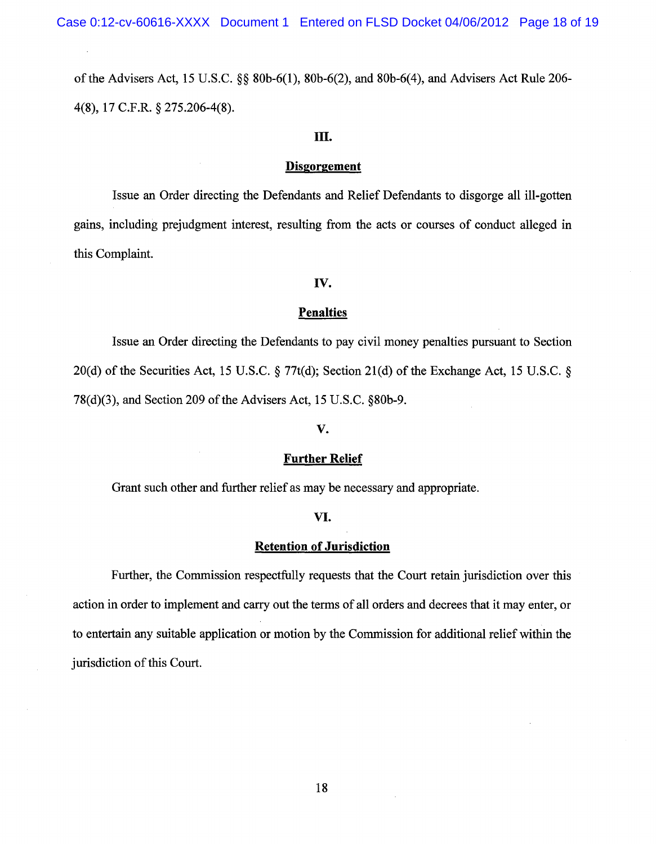Case 0:12-cv-60616-XXXX Document 1 Entered on FLSD Docket 04/06/2012 Page 18 of 19

of the Advisers Act, 15 U.S.C. §§ SOb-6(1), SOb-6(2), and SOb-6(4), and Advisers Act Rule 206- 4(S), 17 C.F.R. § 275.206-4(S).

## **III.**

### **Disgorgement**

Issue an Order directing the Defendants and Relief Defendants to disgorge all ill-gotten gains, including prejudgment interest, resulting from the acts or courses of conduct alleged in this Complaint.

### **IV.**

#### **Penalties**

Issue an Order directing the Defendants to pay civil money penalties pursuant to Section 20(d) of the Securities Act, 15 U.S.C. § 77t(d); Section 21(d) of the Exchange Act, 15 U.S.C. § 7S(d)(3), and Section 209 of the Advisers Act, 15 U.S.C. §SOb-9.

#### **V.**

#### **Further Relief**

Grant such other and further relief as may be necessary and appropriate.

#### **VI.**

### **Retention of Jurisdiction**

Further, the Commission respectfully requests that the Court retain jurisdiction over this action in order to implement and carry out the terms of all orders and decrees that it may enter, or to entertain any suitable application or motion by the Commission for additional relief within the jurisdiction of this Court.